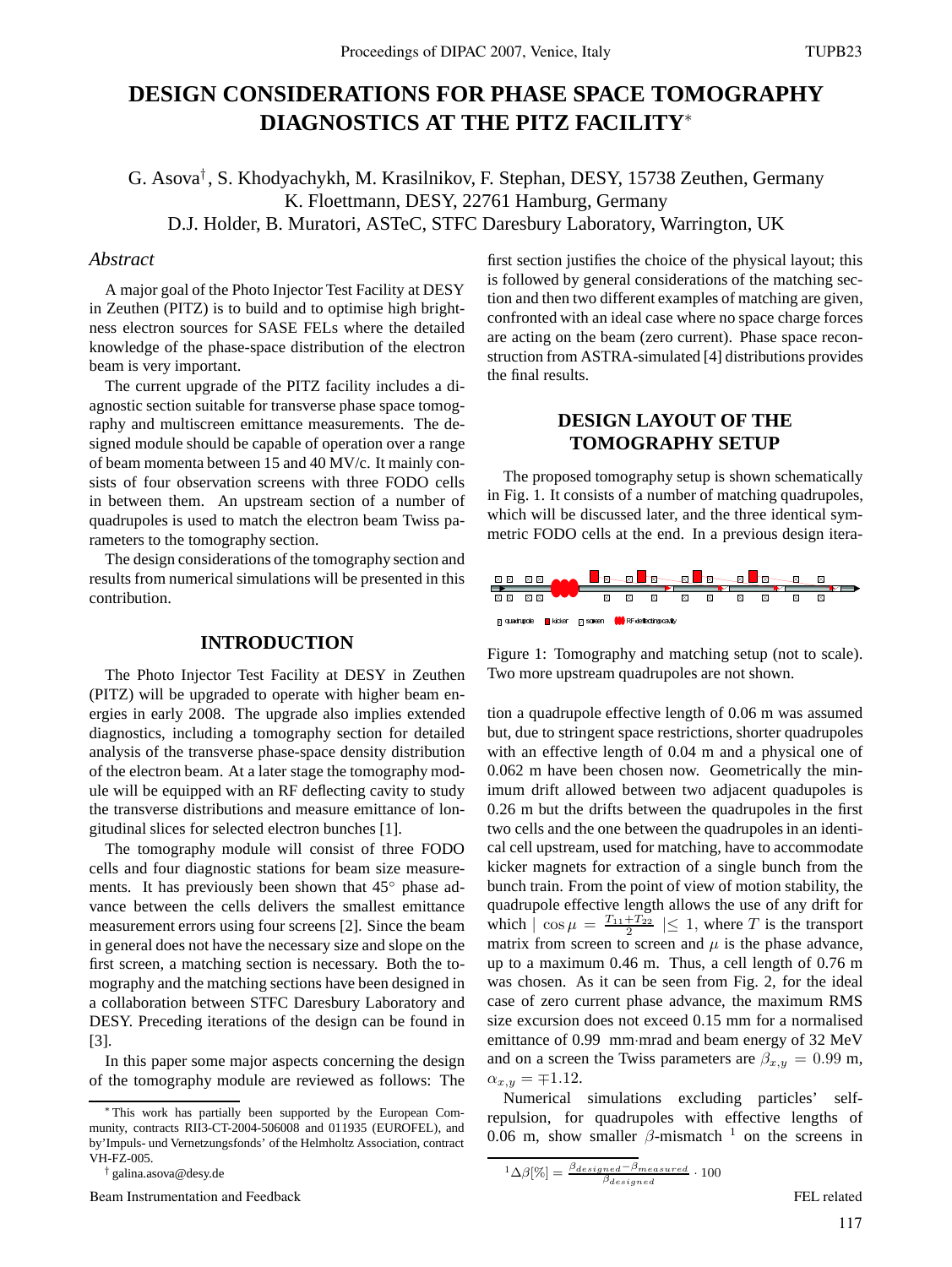# **DESIGN CONSIDERATIONS FOR PHASE SPACE TOMOGRAPHY DIAGNOSTICS AT THE PITZ FACILITY**<sup>∗</sup>

G. Asova† , S. Khodyachykh, M. Krasilnikov, F. Stephan, DESY, 15738 Zeuthen, Germany K. Floettmann, DESY, 22761 Hamburg, Germany D.J. Holder, B. Muratori, ASTeC, STFC Daresbury Laboratory, Warrington, UK

#### *Abstract*

A major goal of the Photo Injector Test Facility at DESY in Zeuthen (PITZ) is to build and to optimise high brightness electron sources for SASE FELs where the detailed knowledge of the phase-space distribution of the electron beam is very important.

The current upgrade of the PITZ facility includes a diagnostic section suitable for transverse phase space tomography and multiscreen emittance measurements. The designed module should be capable of operation over a range of beam momenta between 15 and 40 MV/c. It mainly consists of four observation screens with three FODO cells in between them. An upstream section of a number of quadrupoles is used to match the electron beam Twiss parameters to the tomography section.

The design considerations of the tomography section and results from numerical simulations will be presented in this contribution.

### **INTRODUCTION**

The Photo Injector Test Facility at DESY in Zeuthen (PITZ) will be upgraded to operate with higher beam energies in early 2008. The upgrade also implies extended diagnostics, including a tomography section for detailed analysis of the transverse phase-space density distribution of the electron beam. At a later stage the tomography module will be equipped with an RF deflecting cavity to study the transverse distributions and measure emittance of longitudinal slices for selected electron bunches [1].

The tomography module will consist of three FODO cells and four diagnostic stations for beam size measurements. It has previously been shown that 45<sup>°</sup> phase advance between the cells delivers the smallest emittance measurement errors using four screens [2]. Since the beam in general does not have the necessary size and slope on the first screen, a matching section is necessary. Both the tomography and the matching sections have been designed in a collaboration between STFC Daresbury Laboratory and DESY. Preceding iterations of the design can be found in [3].

In this paper some major aspects concerning the design of the tomography module are reviewed as follows: The

∗ This work has partially been supported by the European Community, contracts RII3-CT-2004-506008 and 011935 (EUROFEL), and by'Impuls- und Vernetzungsfonds' of the Helmholtz Association, contract VH-FZ-005.

† galina.asova@desy.de

Beam Instrumentation and Feedback FEL related Security and Technical Security and Technical Security and Technical Security and Technical Security and Technical Security and Technical Security and Technical Security and Te

first section justifies the choice of the physical layout; this is followed by general considerations of the matching section and then two different examples of matching are given, confronted with an ideal case where no space charge forces are acting on the beam (zero current). Phase space reconstruction from ASTRA-simulated [4] distributions provides the final results.

# **DESIGN LAYOUT OF THE TOMOGRAPHY SETUP**

The proposed tomography setup is shown schematically in Fig. 1. It consists of a number of matching quadrupoles, which will be discussed later, and the three identical symmetric FODO cells at the end. In a previous design itera-





tion a quadrupole effective length of 0.06 m was assumed but, due to stringent space restrictions, shorter quadrupoles with an effective length of 0.04 m and a physical one of 0.062 m have been chosen now. Geometrically the minimum drift allowed between two adjacent quadupoles is 0.26 m but the drifts between the quadrupoles in the first two cells and the one between the quadrupoles in an identical cell upstream, used for matching, have to accommodate kicker magnets for extraction of a single bunch from the bunch train. From the point of view of motion stability, the quadrupole effective length allows the use of any drift for which  $|\cos \mu = \frac{T_{11} + T_{22}}{2}| \leq 1$ , where T is the transport matrix from screen to screen and  $\mu$  is the phase advance, up to a maximum 0.46 m. Thus, a cell length of 0.76 m was chosen. As it can be seen from Fig. 2, for the ideal case of zero current phase advance, the maximum RMS size excursion does not exceed 0.15 mm for a normalised emittance of 0.99 mm·mrad and beam energy of 32 MeV and on a screen the Twiss parameters are  $\beta_{x,y} = 0.99$  m,  $\alpha_{x,y} = \mp 1.12.$ 

Numerical simulations excluding particles' selfrepulsion, for quadrupoles with effective lengths of 0.06 m, show smaller  $\beta$ -mismatch <sup>1</sup> on the screens in

$$
^{1}\Delta\beta[\%] = \tfrac{\beta_{designed} - \beta_{measured}}{\beta_{designed}} \cdot 100
$$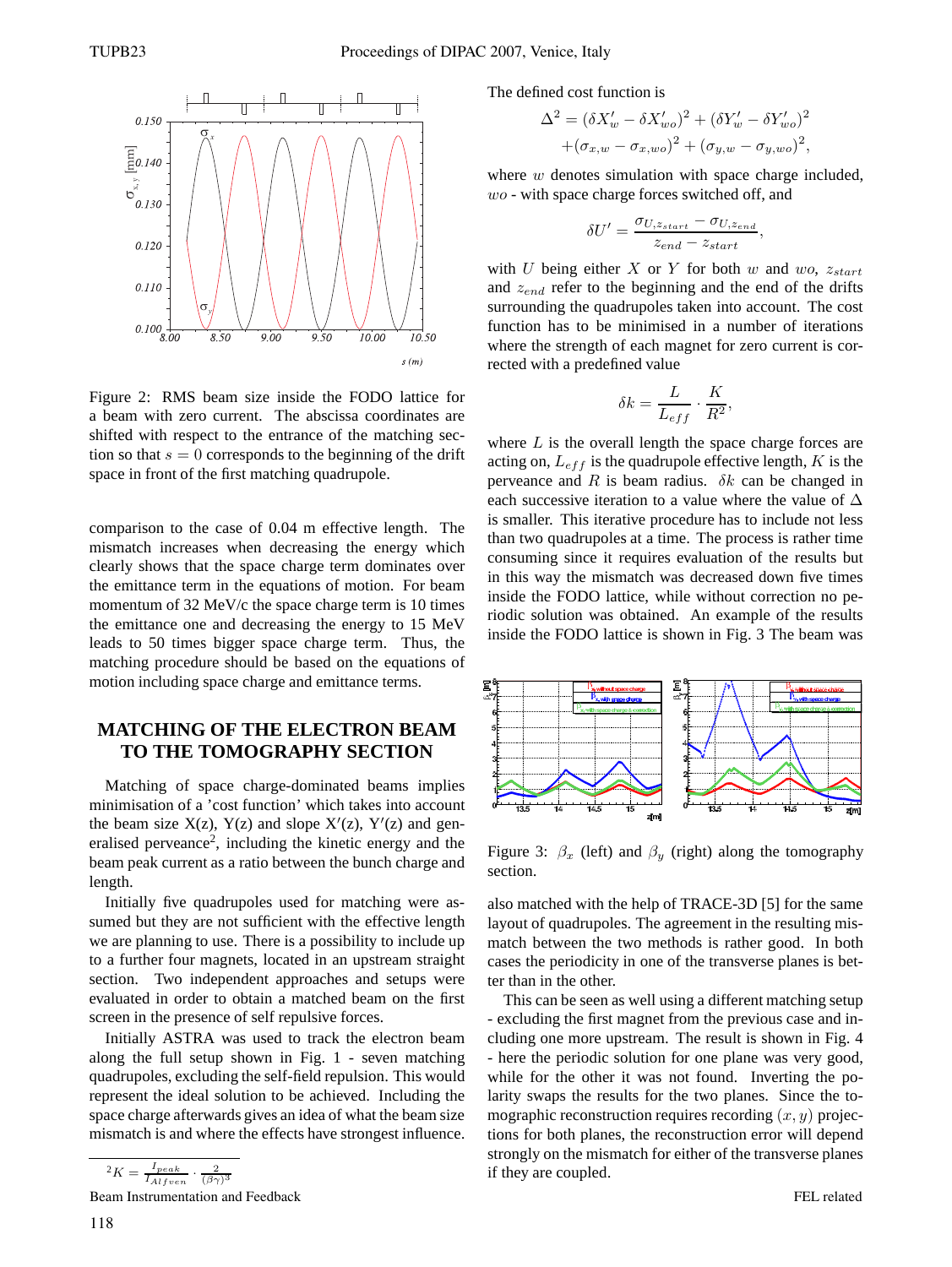

Figure 2: RMS beam size inside the FODO lattice for a beam with zero current. The abscissa coordinates are shifted with respect to the entrance of the matching section so that  $s = 0$  corresponds to the beginning of the drift space in front of the first matching quadrupole.

comparison to the case of 0.04 m effective length. The mismatch increases when decreasing the energy which clearly shows that the space charge term dominates over the emittance term in the equations of motion. For beam momentum of 32 MeV/c the space charge term is 10 times the emittance one and decreasing the energy to 15 MeV leads to 50 times bigger space charge term. Thus, the matching procedure should be based on the equations of motion including space charge and emittance terms.

## **MATCHING OF THE ELECTRON BEAM TO THE TOMOGRAPHY SECTION**

Matching of space charge-dominated beams implies minimisation of a 'cost function' which takes into account the beam size  $X(z)$ ,  $Y(z)$  and slope  $X'(z)$ ,  $Y'(z)$  and generalised perveance<sup>2</sup>, including the kinetic energy and the beam peak current as a ratio between the bunch charge and length.

Initially five quadrupoles used for matching were assumed but they are not sufficient with the effective length we are planning to use. There is a possibility to include up to a further four magnets, located in an upstream straight section. Two independent approaches and setups were evaluated in order to obtain a matched beam on the first screen in the presence of self repulsive forces.

Initially ASTRA was used to track the electron beam along the full setup shown in Fig. 1 - seven matching quadrupoles, excluding the self-field repulsion. This would represent the ideal solution to be achieved. Including the space charge afterwards gives an idea of what the beam size mismatch is and where the effects have strongest influence.

$$
{}^{2}K = \frac{I_{peak}}{I_{Alfven}} \cdot \frac{2}{(\beta \gamma)^{3}}
$$

Beam Instrumentation and Feedback

$$
\Delta^{2} = (\delta X_{w}^{\prime} - \delta X_{wo}^{\prime})^{2} + (\delta Y_{w}^{\prime} - \delta Y_{wo}^{\prime})^{2} + (\sigma_{x,w} - \sigma_{x,wo})^{2} + (\sigma_{y,w} - \sigma_{y,wo})^{2},
$$

where  $w$  denotes simulation with space charge included, wo - with space charge forces switched off, and

$$
\delta U' = \frac{\sigma_{U, z_{start}} - \sigma_{U, z_{end}}}{z_{end} - z_{start}},
$$

with U being either X or Y for both w and wo,  $z_{start}$ and  $z_{end}$  refer to the beginning and the end of the drifts surrounding the quadrupoles taken into account. The cost function has to be minimised in a number of iterations where the strength of each magnet for zero current is corrected with a predefined value

$$
\delta k = \frac{L}{L_{eff}} \cdot \frac{K}{R^2},
$$

where  $L$  is the overall length the space charge forces are acting on,  $L_{eff}$  is the quadrupole effective length,  $K$  is the perveance and R is beam radius.  $\delta k$  can be changed in each successive iteration to a value where the value of  $\Delta$ is smaller. This iterative procedure has to include not less than two quadrupoles at a time. The process is rather time consuming since it requires evaluation of the results but in this way the mismatch was decreased down five times inside the FODO lattice, while without correction no periodic solution was obtained. An example of the results inside the FODO lattice is shown in Fig. 3 The beam was



Figure 3:  $\beta_x$  (left) and  $\beta_y$  (right) along the tomography section.

also matched with the help of TRACE-3D [5] for the same layout of quadrupoles. The agreement in the resulting mismatch between the two methods is rather good. In both cases the periodicity in one of the transverse planes is better than in the other.

This can be seen as well using a different matching setup - excluding the first magnet from the previous case and including one more upstream. The result is shown in Fig. 4 - here the periodic solution for one plane was very good, while for the other it was not found. Inverting the polarity swaps the results for the two planes. Since the tomographic reconstruction requires recording  $(x, y)$  projections for both planes, the reconstruction error will depend strongly on the mismatch for either of the transverse planes if they are coupled.